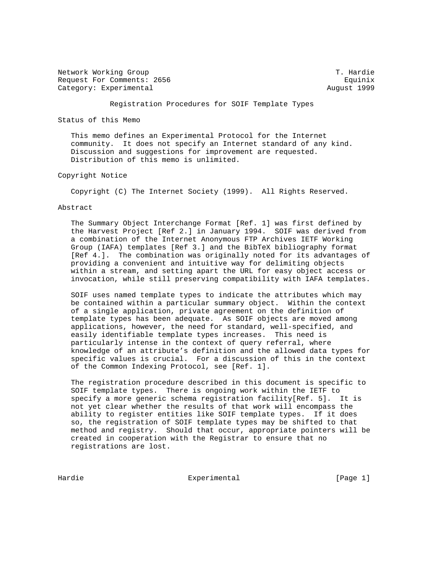Network Working Group T. Hardie Request For Comments: 2656 Equinix Category: Experimental August 1999

Registration Procedures for SOIF Template Types

Status of this Memo

 This memo defines an Experimental Protocol for the Internet community. It does not specify an Internet standard of any kind. Discussion and suggestions for improvement are requested. Distribution of this memo is unlimited.

### Copyright Notice

Copyright (C) The Internet Society (1999). All Rights Reserved.

#### Abstract

 The Summary Object Interchange Format [Ref. 1] was first defined by the Harvest Project [Ref 2.] in January 1994. SOIF was derived from a combination of the Internet Anonymous FTP Archives IETF Working Group (IAFA) templates [Ref 3.] and the BibTeX bibliography format [Ref 4.]. The combination was originally noted for its advantages of providing a convenient and intuitive way for delimiting objects within a stream, and setting apart the URL for easy object access or invocation, while still preserving compatibility with IAFA templates.

 SOIF uses named template types to indicate the attributes which may be contained within a particular summary object. Within the context of a single application, private agreement on the definition of template types has been adequate. As SOIF objects are moved among applications, however, the need for standard, well-specified, and easily identifiable template types increases. This need is particularly intense in the context of query referral, where knowledge of an attribute's definition and the allowed data types for specific values is crucial. For a discussion of this in the context of the Common Indexing Protocol, see [Ref. 1].

 The registration procedure described in this document is specific to SOIF template types. There is ongoing work within the IETF to specify a more generic schema registration facility[Ref. 5]. It is not yet clear whether the results of that work will encompass the ability to register entities like SOIF template types. If it does so, the registration of SOIF template types may be shifted to that method and registry. Should that occur, appropriate pointers will be created in cooperation with the Registrar to ensure that no registrations are lost.

Hardie **Experimental** Experimental [Page 1]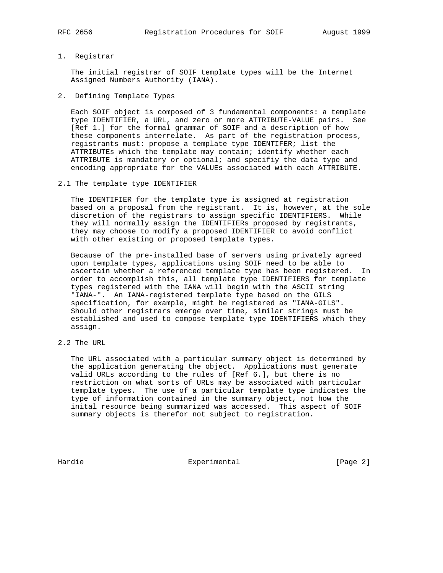#### 1. Registrar

 The initial registrar of SOIF template types will be the Internet Assigned Numbers Authority (IANA).

2. Defining Template Types

 Each SOIF object is composed of 3 fundamental components: a template type IDENTIFIER, a URL, and zero or more ATTRIBUTE-VALUE pairs. See [Ref 1.] for the formal grammar of SOIF and a description of how these components interrelate. As part of the registration process, registrants must: propose a template type IDENTIFER; list the ATTRIBUTEs which the template may contain; identify whether each ATTRIBUTE is mandatory or optional; and specifiy the data type and encoding appropriate for the VALUEs associated with each ATTRIBUTE.

2.1 The template type IDENTIFIER

 The IDENTIFIER for the template type is assigned at registration based on a proposal from the registrant. It is, however, at the sole discretion of the registrars to assign specific IDENTIFIERS. While they will normally assign the IDENTIFIERs proposed by registrants, they may choose to modify a proposed IDENTIFIER to avoid conflict with other existing or proposed template types.

 Because of the pre-installed base of servers using privately agreed upon template types, applications using SOIF need to be able to ascertain whether a referenced template type has been registered. In order to accomplish this, all template type IDENTIFIERS for template types registered with the IANA will begin with the ASCII string "IANA-". An IANA-registered template type based on the GILS specification, for example, might be registered as "IANA-GILS". Should other registrars emerge over time, similar strings must be established and used to compose template type IDENTIFIERS which they assign.

2.2 The URL

 The URL associated with a particular summary object is determined by the application generating the object. Applications must generate valid URLs according to the rules of [Ref 6.], but there is no restriction on what sorts of URLs may be associated with particular template types. The use of a particular template type indicates the type of information contained in the summary object, not how the inital resource being summarized was accessed. This aspect of SOIF summary objects is therefor not subject to registration.

Hardie **Experimental** Experimental [Page 2]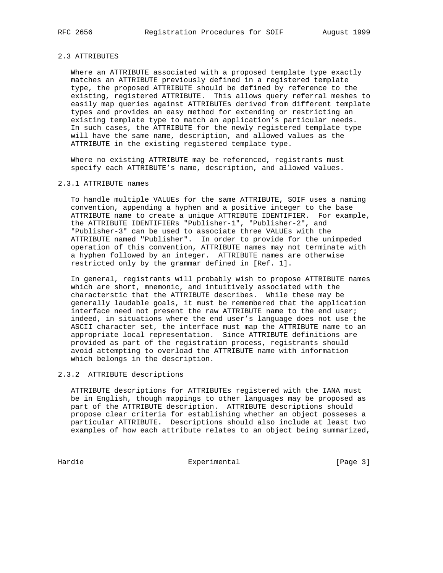## 2.3 ATTRIBUTES

 Where an ATTRIBUTE associated with a proposed template type exactly matches an ATTRIBUTE previously defined in a registered template type, the proposed ATTRIBUTE should be defined by reference to the existing, registered ATTRIBUTE. This allows query referral meshes to easily map queries against ATTRIBUTEs derived from different template types and provides an easy method for extending or restricting an existing template type to match an application's particular needs. In such cases, the ATTRIBUTE for the newly registered template type will have the same name, description, and allowed values as the ATTRIBUTE in the existing registered template type.

 Where no existing ATTRIBUTE may be referenced, registrants must specify each ATTRIBUTE's name, description, and allowed values.

#### 2.3.1 ATTRIBUTE names

 To handle multiple VALUEs for the same ATTRIBUTE, SOIF uses a naming convention, appending a hyphen and a positive integer to the base ATTRIBUTE name to create a unique ATTRIBUTE IDENTIFIER. For example, the ATTRIBUTE IDENTIFIERs "Publisher-1", "Publisher-2", and "Publisher-3" can be used to associate three VALUEs with the ATTRIBUTE named "Publisher". In order to provide for the unimpeded operation of this convention, ATTRIBUTE names may not terminate with a hyphen followed by an integer. ATTRIBUTE names are otherwise restricted only by the grammar defined in [Ref. 1].

 In general, registrants will probably wish to propose ATTRIBUTE names which are short, mnemonic, and intuitively associated with the characterstic that the ATTRIBUTE describes. While these may be generally laudable goals, it must be remembered that the application interface need not present the raw ATTRIBUTE name to the end user; indeed, in situations where the end user's language does not use the ASCII character set, the interface must map the ATTRIBUTE name to an appropriate local representation. Since ATTRIBUTE definitions are provided as part of the registration process, registrants should avoid attempting to overload the ATTRIBUTE name with information which belongs in the description.

### 2.3.2 ATTRIBUTE descriptions

 ATTRIBUTE descriptions for ATTRIBUTEs registered with the IANA must be in English, though mappings to other languages may be proposed as part of the ATTRIBUTE description. ATTRIBUTE descriptions should propose clear criteria for establishing whether an object posseses a particular ATTRIBUTE. Descriptions should also include at least two examples of how each attribute relates to an object being summarized,

Hardie **Experimental** Experimental [Page 3]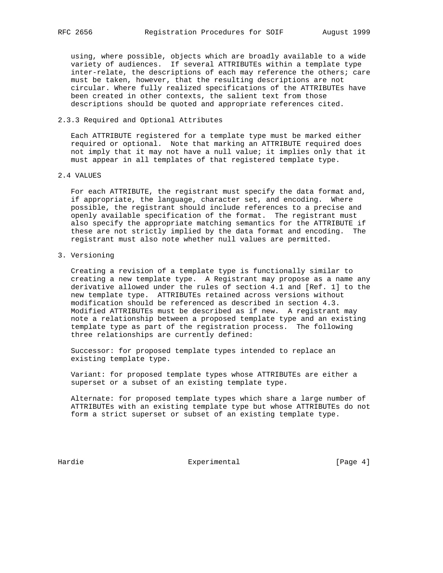using, where possible, objects which are broadly available to a wide variety of audiences. If several ATTRIBUTEs within a template type inter-relate, the descriptions of each may reference the others; care must be taken, however, that the resulting descriptions are not circular. Where fully realized specifications of the ATTRIBUTEs have been created in other contexts, the salient text from those descriptions should be quoted and appropriate references cited.

2.3.3 Required and Optional Attributes

 Each ATTRIBUTE registered for a template type must be marked either required or optional. Note that marking an ATTRIBUTE required does not imply that it may not have a null value; it implies only that it must appear in all templates of that registered template type.

2.4 VALUES

 For each ATTRIBUTE, the registrant must specify the data format and, if appropriate, the language, character set, and encoding. Where possible, the registrant should include references to a precise and openly available specification of the format. The registrant must also specify the appropriate matching semantics for the ATTRIBUTE if these are not strictly implied by the data format and encoding. The registrant must also note whether null values are permitted.

3. Versioning

 Creating a revision of a template type is functionally similar to creating a new template type. A Registrant may propose as a name any derivative allowed under the rules of section 4.1 and [Ref. 1] to the new template type. ATTRIBUTEs retained across versions without modification should be referenced as described in section 4.3. Modified ATTRIBUTEs must be described as if new. A registrant may note a relationship between a proposed template type and an existing template type as part of the registration process. The following three relationships are currently defined:

 Successor: for proposed template types intended to replace an existing template type.

 Variant: for proposed template types whose ATTRIBUTEs are either a superset or a subset of an existing template type.

 Alternate: for proposed template types which share a large number of ATTRIBUTEs with an existing template type but whose ATTRIBUTEs do not form a strict superset or subset of an existing template type.

Hardie Experimental Experimental [Page 4]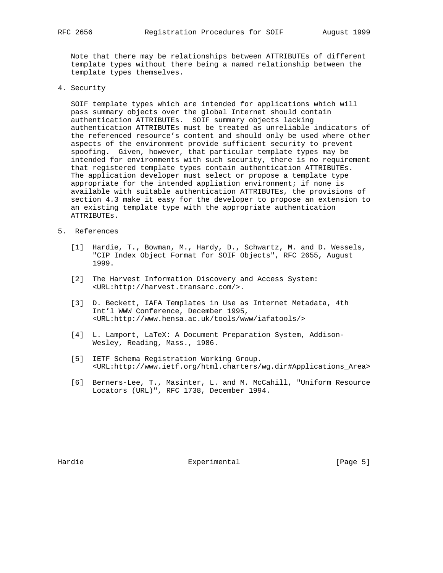Note that there may be relationships between ATTRIBUTEs of different template types without there being a named relationship between the template types themselves.

4. Security

 SOIF template types which are intended for applications which will pass summary objects over the global Internet should contain authentication ATTRIBUTEs. SOIF summary objects lacking authentication ATTRIBUTEs must be treated as unreliable indicators of the referenced resource's content and should only be used where other aspects of the environment provide sufficient security to prevent spoofing. Given, however, that particular template types may be intended for environments with such security, there is no requirement that registered template types contain authentication ATTRIBUTEs. The application developer must select or propose a template type appropriate for the intended appliation environment; if none is available with suitable authentication ATTRIBUTEs, the provisions of section 4.3 make it easy for the developer to propose an extension to an existing template type with the appropriate authentication ATTRIBUTEs.

- 5. References
	- [1] Hardie, T., Bowman, M., Hardy, D., Schwartz, M. and D. Wessels, "CIP Index Object Format for SOIF Objects", RFC 2655, August 1999.
	- [2] The Harvest Information Discovery and Access System: <URL:http://harvest.transarc.com/>.
	- [3] D. Beckett, IAFA Templates in Use as Internet Metadata, 4th Int'l WWW Conference, December 1995, <URL:http://www.hensa.ac.uk/tools/www/iafatools/>
	- [4] L. Lamport, LaTeX: A Document Preparation System, Addison- Wesley, Reading, Mass., 1986.
	- [5] IETF Schema Registration Working Group. <URL:http://www.ietf.org/html.charters/wg.dir#Applications\_Area>
	- [6] Berners-Lee, T., Masinter, L. and M. McCahill, "Uniform Resource Locators (URL)", RFC 1738, December 1994.

Hardie **Experimental** Experimental [Page 5]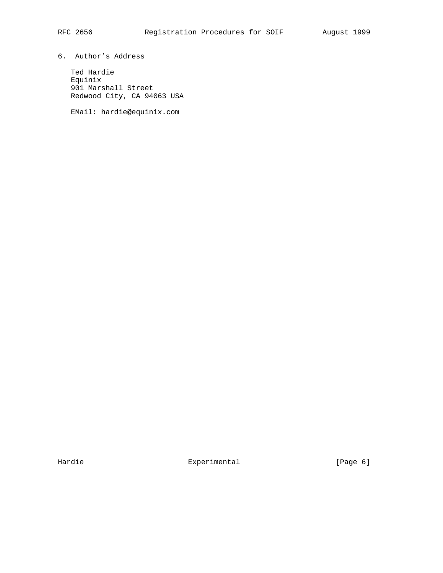# 6. Author's Address

 Ted Hardie Equinix 901 Marshall Street Redwood City, CA 94063 USA

EMail: hardie@equinix.com

Hardie **Experimental** Experimental [Page 6]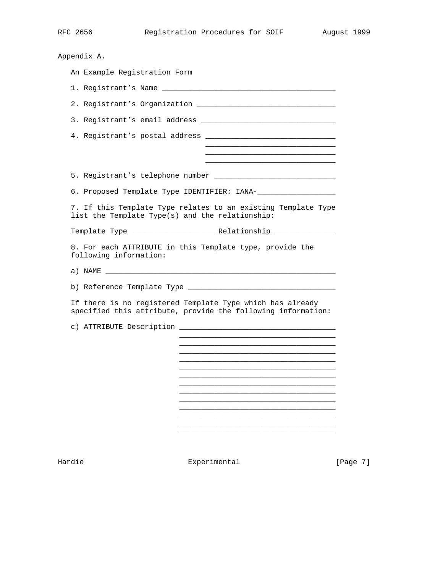| Appendix A.                                                                                                               |
|---------------------------------------------------------------------------------------------------------------------------|
| An Example Registration Form                                                                                              |
|                                                                                                                           |
|                                                                                                                           |
|                                                                                                                           |
|                                                                                                                           |
|                                                                                                                           |
|                                                                                                                           |
|                                                                                                                           |
| 7. If this Template Type relates to an existing Template Type<br>list the Template Type(s) and the relationship:          |
|                                                                                                                           |
| 8. For each ATTRIBUTE in this Template type, provide the<br>following information:                                        |
|                                                                                                                           |
|                                                                                                                           |
| If there is no registered Template Type which has already<br>specified this attribute, provide the following information: |
|                                                                                                                           |
|                                                                                                                           |
|                                                                                                                           |
|                                                                                                                           |
|                                                                                                                           |
|                                                                                                                           |
|                                                                                                                           |
|                                                                                                                           |
|                                                                                                                           |

Hardie Experimental Experimental [Page 7]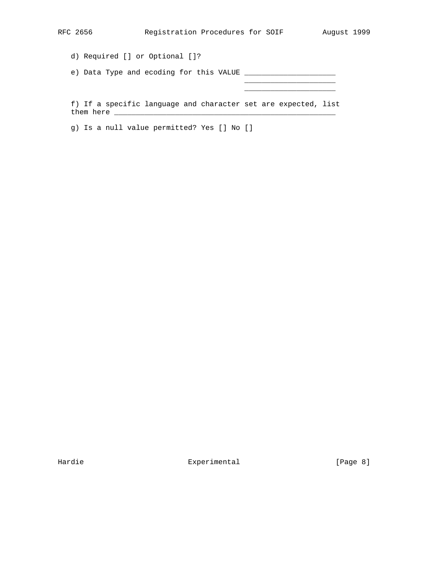d) Required [] or Optional []?

e) Data Type and ecoding for this VALUE \_\_\_\_\_\_\_\_\_\_\_\_\_\_\_\_\_\_\_\_\_

 $\mathcal{L}_\text{max}$  and  $\mathcal{L}_\text{max}$  and  $\mathcal{L}_\text{max}$  and  $\mathcal{L}_\text{max}$  and  $\mathcal{L}_\text{max}$  $\mathcal{L}_\text{max}$  and  $\mathcal{L}_\text{max}$  and  $\mathcal{L}_\text{max}$  and  $\mathcal{L}_\text{max}$  and  $\mathcal{L}_\text{max}$ 

 f) If a specific language and character set are expected, list them here \_\_\_\_\_\_\_\_\_\_\_\_\_\_\_\_\_\_\_\_\_\_\_\_\_\_\_\_\_\_\_\_\_\_\_\_\_\_\_\_\_\_\_\_\_\_\_\_\_\_\_

g) Is a null value permitted? Yes [] No []

Hardie Experimental Experimental [Page 8]